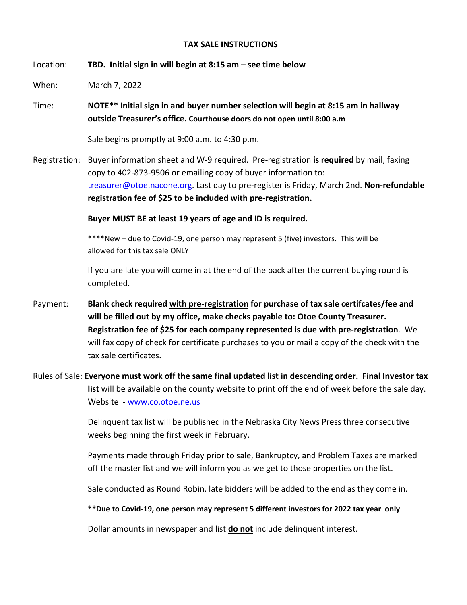## **TAX SALE INSTRUCTIONS**

Location: **TBD. Initial sign in will begin at 8:15 am – see time below** 

When: March 7, 2022

Time: **NOTE\*\* Initial sign in and buyer number selection will begin at 8:15 am in hallway outside Treasurer's office. Courthouse doors do not open until 8:00 a.m**

Sale begins promptly at 9:00 a.m. to 4:30 p.m.

Registration: Buyer information sheet and W‐9 required. Pre‐registration **is required** by mail, faxing copy to 402‐873‐9506 or emailing copy of buyer information to: treasurer@otoe.nacone.org. Last day to pre‐register is Friday, March 2nd. **Non‐refundable registration fee of \$25 to be included with pre‐registration.**

**Buyer MUST BE at least 19 years of age and ID is required.** 

\*\*\*\*New – due to Covid‐19, one person may represent 5 (five) investors. This will be allowed for this tax sale ONLY

If you are late you will come in at the end of the pack after the current buying round is completed.

- Payment: **Blank check required with pre‐registration for purchase of tax sale certifcates/fee and will be filled out by my office, make checks payable to: Otoe County Treasurer. Registration fee of \$25 for each company represented is due with pre‐registration**. We will fax copy of check for certificate purchases to you or mail a copy of the check with the tax sale certificates.
- Rules of Sale: **Everyone must work off the same final updated list in descending order. Final Investor tax list** will be available on the county website to print off the end of week before the sale day. Website - www.co.otoe.ne.us

 Delinquent tax list will be published in the Nebraska City News Press three consecutive weeks beginning the first week in February.

 Payments made through Friday prior to sale, Bankruptcy, and Problem Taxes are marked off the master list and we will inform you as we get to those properties on the list.

Sale conducted as Round Robin, late bidders will be added to the end as they come in.

**\*\*Due to Covid‐19, one person may represent 5 different investors for 2022 tax year only** 

Dollar amounts in newspaper and list **do not** include delinquent interest.